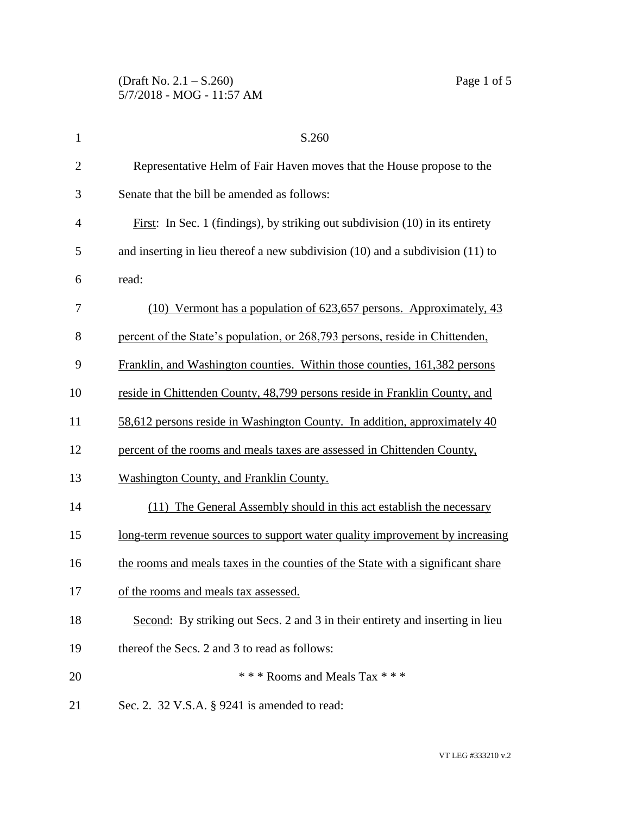| $\mathbf{1}$   | S.260                                                                               |
|----------------|-------------------------------------------------------------------------------------|
| $\overline{2}$ | Representative Helm of Fair Haven moves that the House propose to the               |
| 3              | Senate that the bill be amended as follows:                                         |
| 4              | First: In Sec. 1 (findings), by striking out subdivision $(10)$ in its entirety     |
| 5              | and inserting in lieu thereof a new subdivision $(10)$ and a subdivision $(11)$ to  |
| 6              | read:                                                                               |
| 7              | (10) Vermont has a population of 623,657 persons. Approximately, 43                 |
| 8              | percent of the State's population, or 268,793 persons, reside in Chittenden,        |
| 9              | Franklin, and Washington counties. Within those counties, 161,382 persons           |
| 10             | reside in Chittenden County, 48,799 persons reside in Franklin County, and          |
| 11             | 58,612 persons reside in Washington County. In addition, approximately 40           |
| 12             | percent of the rooms and meals taxes are assessed in Chittenden County,             |
| 13             | Washington County, and Franklin County.                                             |
| 14             | (11) The General Assembly should in this act establish the necessary                |
| 15             | <u>long-term revenue sources to support water quality improvement by increasing</u> |
| 16             | the rooms and meals taxes in the counties of the State with a significant share     |
| 17             | of the rooms and meals tax assessed.                                                |
| 18             | Second: By striking out Secs. 2 and 3 in their entirety and inserting in lieu       |
| 19             | thereof the Secs. 2 and 3 to read as follows:                                       |
| 20             | *** Rooms and Meals Tax ***                                                         |
| 21             | Sec. 2. 32 V.S.A. § 9241 is amended to read:                                        |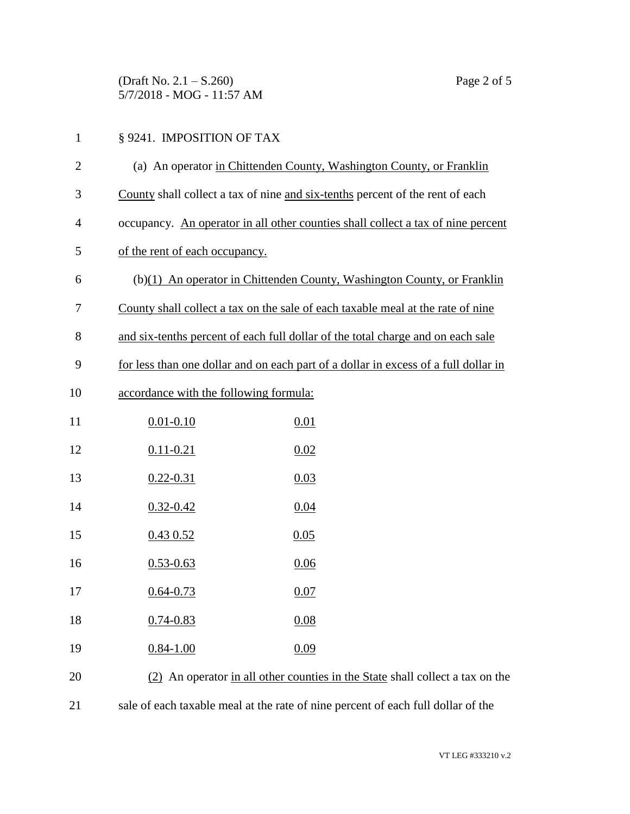(Draft No. 2.1 – S.260) Page 2 of 5 5/7/2018 - MOG - 11:57 AM

## § 9241. IMPOSITION OF TAX (a) An operator in Chittenden County, Washington County, or Franklin County shall collect a tax of nine and six-tenths percent of the rent of each occupancy. An operator in all other counties shall collect a tax of nine percent of the rent of each occupancy. (b)(1) An operator in Chittenden County, Washington County, or Franklin County shall collect a tax on the sale of each taxable meal at the rate of nine and six-tenths percent of each full dollar of the total charge and on each sale for less than one dollar and on each part of a dollar in excess of a full dollar in accordance with the following formula: 11 0.01-0.10 0.01 12 0.11-0.21 0.02 13 0.22-0.31 0.03 0.32-0.42 0.04 0.43 0.52 0.05 0.53-0.63 0.06 17 0.64-0.73 0.07 0.74-0.83 0.08 19 0.84-1.00 0.09 (2) An operator in all other counties in the State shall collect a tax on the sale of each taxable meal at the rate of nine percent of each full dollar of the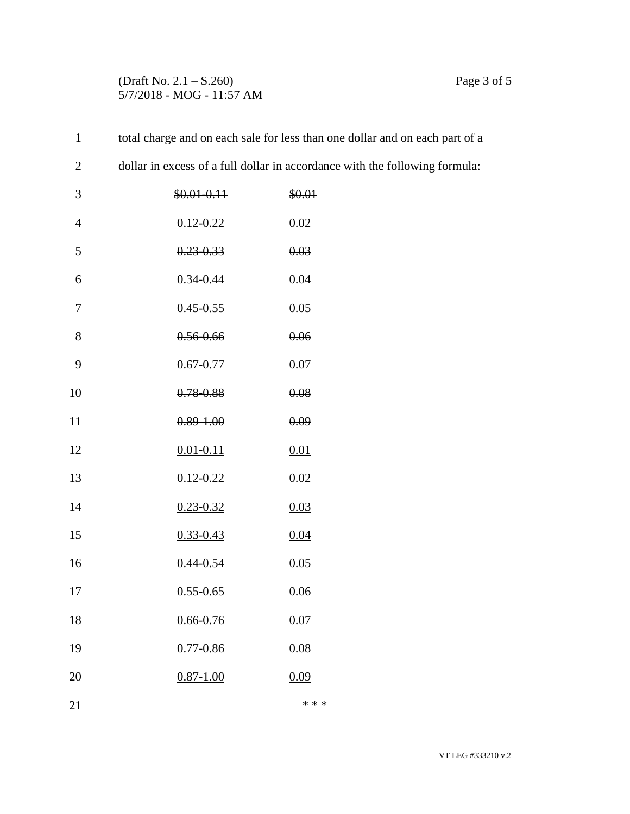## (Draft No. 2.1 – S.260) Page 3 of 5 5/7/2018 - MOG - 11:57 AM

| $\mathbf{1}$   |                | total charge and on each sale for less than one dollar and on each part of a |
|----------------|----------------|------------------------------------------------------------------------------|
| $\mathbf{2}$   |                | dollar in excess of a full dollar in accordance with the following formula:  |
| 3              | $$0.01 - 0.11$ | \$0.01                                                                       |
| $\overline{4}$ | $0.12 - 0.22$  | 0.02                                                                         |
| 5              | $0.23 - 0.33$  | 0.03                                                                         |
| 6              | $0.34 - 0.44$  | 0.04                                                                         |
| 7              | $0.45 - 0.55$  | 0.05                                                                         |
| $8\,$          | $0.56 - 0.66$  | 0.06                                                                         |
| 9              | $0.67 - 0.77$  | 0.07                                                                         |
| 10             | $0.78 - 0.88$  | 0.08                                                                         |
| 11             | $0.89 - 1.00$  | 0.09                                                                         |
| 12             | $0.01 - 0.11$  | 0.01                                                                         |
| 13             | $0.12 - 0.22$  | 0.02                                                                         |
| 14             | $0.23 - 0.32$  | 0.03                                                                         |
| 15             | $0.33 - 0.43$  | 0.04                                                                         |
| 16             | $0.44 - 0.54$  | 0.05                                                                         |
| 17             | $0.55 - 0.65$  | 0.06                                                                         |
| 18             | $0.66 - 0.76$  | 0.07                                                                         |
| 19             | $0.77 - 0.86$  | 0.08                                                                         |
| 20             | $0.87 - 1.00$  | 0.09                                                                         |
| 21             |                | * * *                                                                        |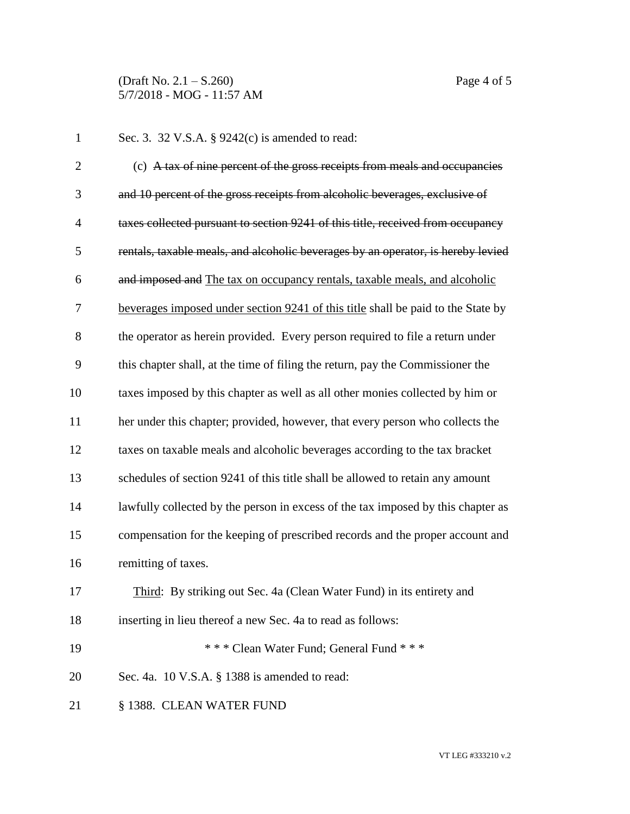(Draft No. 2.1 – S.260) Page 4 of 5 5/7/2018 - MOG - 11:57 AM

| $\mathbf{1}$   | Sec. 3. 32 V.S.A. § 9242(c) is amended to read:                                  |
|----------------|----------------------------------------------------------------------------------|
| $\overline{2}$ | (c) A tax of nine percent of the gross receipts from meals and occupancies       |
| 3              | and 10 percent of the gross receipts from alcoholic beverages, exclusive of      |
| $\overline{4}$ | taxes collected pursuant to section 9241 of this title, received from occupancy  |
| 5              | rentals, taxable meals, and alcoholic beverages by an operator, is hereby levied |
| 6              | and imposed and The tax on occupancy rentals, taxable meals, and alcoholic       |
| 7              | beverages imposed under section 9241 of this title shall be paid to the State by |
| 8              | the operator as herein provided. Every person required to file a return under    |
| 9              | this chapter shall, at the time of filing the return, pay the Commissioner the   |
| 10             | taxes imposed by this chapter as well as all other monies collected by him or    |
| 11             | her under this chapter; provided, however, that every person who collects the    |
| 12             | taxes on taxable meals and alcoholic beverages according to the tax bracket      |
| 13             | schedules of section 9241 of this title shall be allowed to retain any amount    |
| 14             | lawfully collected by the person in excess of the tax imposed by this chapter as |
| 15             | compensation for the keeping of prescribed records and the proper account and    |
| 16             | remitting of taxes.                                                              |
| 17             | Third: By striking out Sec. 4a (Clean Water Fund) in its entirety and            |
| 18             | inserting in lieu thereof a new Sec. 4a to read as follows:                      |
| 19             | *** Clean Water Fund; General Fund ***                                           |
| 20             | Sec. 4a. 10 V.S.A. § 1388 is amended to read:                                    |
| 21             | § 1388. CLEAN WATER FUND                                                         |